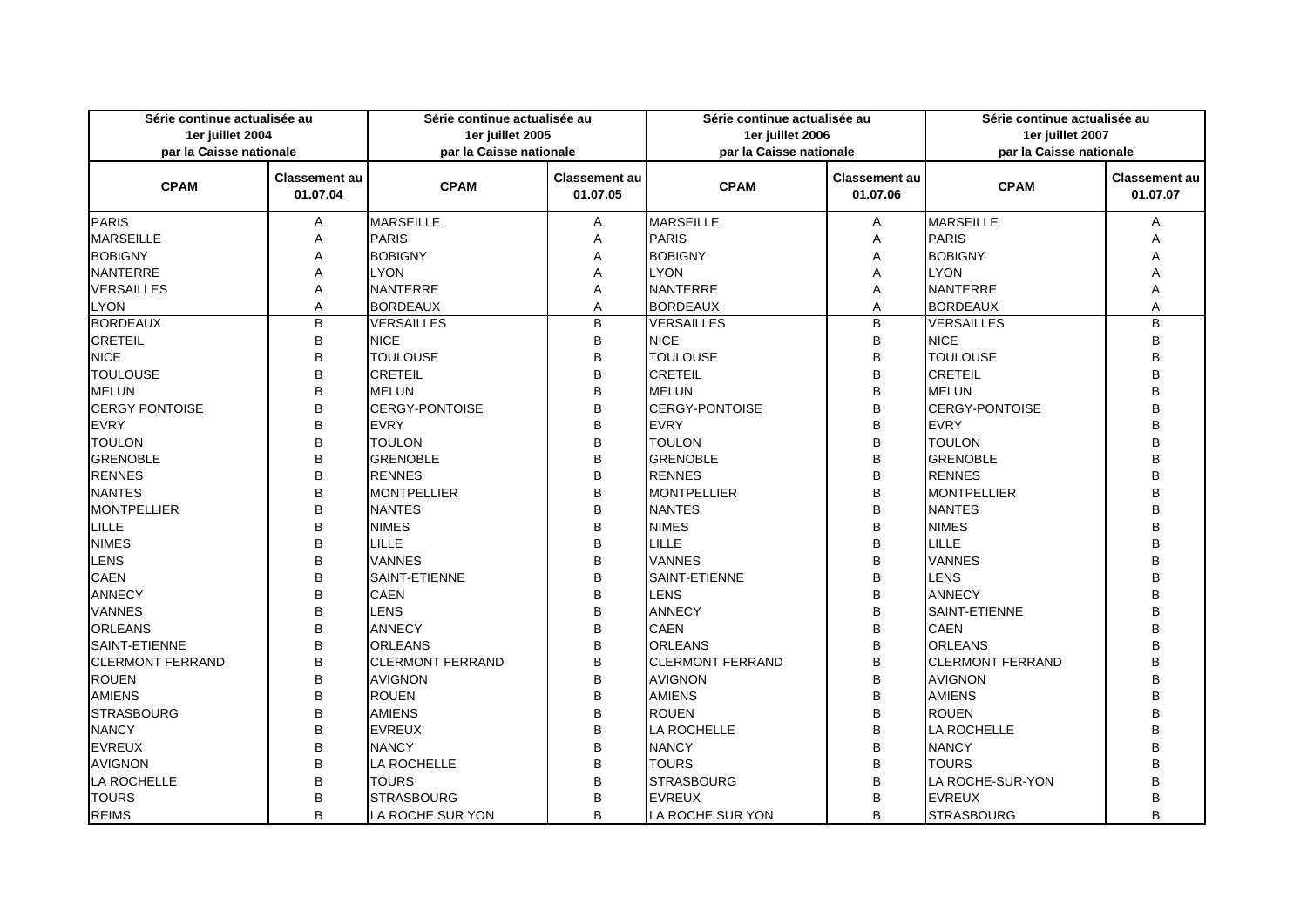| Série continue actualisée au<br>1er juillet 2004<br>par la Caisse nationale |                                  | Série continue actualisée au<br>1er juillet 2005<br>par la Caisse nationale |                                  | Série continue actualisée au<br>1er juillet 2006<br>par la Caisse nationale |                                  | Série continue actualisée au<br>1er juillet 2007<br>par la Caisse nationale |                                  |
|-----------------------------------------------------------------------------|----------------------------------|-----------------------------------------------------------------------------|----------------------------------|-----------------------------------------------------------------------------|----------------------------------|-----------------------------------------------------------------------------|----------------------------------|
| <b>CPAM</b>                                                                 | <b>Classement au</b><br>01.07.04 | <b>CPAM</b>                                                                 | <b>Classement au</b><br>01.07.05 | <b>CPAM</b>                                                                 | <b>Classement au</b><br>01.07.06 | <b>CPAM</b>                                                                 | <b>Classement au</b><br>01.07.07 |
| <b>PARIS</b>                                                                | A                                | <b>MARSEILLE</b>                                                            | A                                | <b>MARSEILLE</b>                                                            | A                                | <b>MARSEILLE</b>                                                            | A                                |
| <b>MARSEILLE</b>                                                            | Α                                | <b>PARIS</b>                                                                | Α                                | <b>PARIS</b>                                                                | A                                | <b>PARIS</b>                                                                | А                                |
| <b>BOBIGNY</b>                                                              | Α                                | <b>BOBIGNY</b>                                                              | A                                | <b>BOBIGNY</b>                                                              | A                                | <b>BOBIGNY</b>                                                              | А                                |
| <b>NANTERRE</b>                                                             | Α                                | <b>LYON</b>                                                                 | Α                                | <b>LYON</b>                                                                 | A                                | <b>LYON</b>                                                                 |                                  |
| <b>VERSAILLES</b>                                                           | A                                | <b>NANTERRE</b>                                                             | A                                | <b>NANTERRE</b>                                                             | A                                | <b>NANTERRE</b>                                                             | A                                |
| <b>LYON</b>                                                                 | A                                | <b>BORDEAUX</b>                                                             | A                                | <b>BORDEAUX</b>                                                             | A                                | <b>BORDEAUX</b>                                                             | A                                |
| <b>BORDEAUX</b>                                                             | $\sf B$                          | <b>VERSAILLES</b>                                                           | B                                | <b>VERSAILLES</b>                                                           | $\overline{B}$                   | <b>VERSAILLES</b>                                                           | B                                |
| <b>CRETEIL</b>                                                              | B                                | <b>NICE</b>                                                                 | B                                | <b>NICE</b>                                                                 | B                                | <b>NICE</b>                                                                 | B                                |
| <b>NICE</b>                                                                 | B                                | <b>TOULOUSE</b>                                                             | B                                | <b>TOULOUSE</b>                                                             | B                                | <b>TOULOUSE</b>                                                             | B                                |
| <b>TOULOUSE</b>                                                             | B                                | <b>CRETEIL</b>                                                              | B                                | <b>CRETEIL</b>                                                              | B                                | <b>CRETEIL</b>                                                              | B                                |
| <b>MELUN</b>                                                                | B                                | <b>MELUN</b>                                                                | B                                | <b>MELUN</b>                                                                | B                                | <b>MELUN</b>                                                                | B                                |
| <b>CERGY PONTOISE</b>                                                       | B                                | <b>CERGY-PONTOISE</b>                                                       | B                                | <b>CERGY-PONTOISE</b>                                                       | B                                | <b>CERGY-PONTOISE</b>                                                       | R                                |
| <b>EVRY</b>                                                                 | B                                | <b>EVRY</b>                                                                 | B                                | <b>EVRY</b>                                                                 | B                                | <b>EVRY</b>                                                                 | R                                |
| <b>TOULON</b>                                                               | B                                | <b>TOULON</b>                                                               | B                                | <b>TOULON</b>                                                               | B                                | <b>TOULON</b>                                                               | R                                |
| <b>GRENOBLE</b>                                                             | B                                | <b>GRENOBLE</b>                                                             | B                                | <b>GRENOBLE</b>                                                             | B                                | <b>GRENOBLE</b>                                                             | R                                |
| <b>RENNES</b>                                                               | B                                | <b>RENNES</b>                                                               | B                                | <b>RENNES</b>                                                               | B                                | <b>RENNES</b>                                                               | R                                |
| <b>NANTES</b>                                                               | B                                | <b>MONTPELLIER</b>                                                          | B                                | <b>MONTPELLIER</b>                                                          | B                                | <b>MONTPELLIER</b>                                                          | B                                |
| <b>MONTPELLIER</b>                                                          | B                                | <b>NANTES</b>                                                               | B                                | <b>NANTES</b>                                                               | B                                | <b>NANTES</b>                                                               | R                                |
| <b>LILLE</b>                                                                | B                                | <b>NIMES</b>                                                                | B                                | <b>NIMES</b>                                                                | B                                | <b>NIMES</b>                                                                | P                                |
| <b>NIMES</b>                                                                | B                                | LILLE                                                                       | B                                | LILLE                                                                       | B                                | LILLE                                                                       | R                                |
| LENS                                                                        | B                                | <b>VANNES</b>                                                               | B                                | <b>VANNES</b>                                                               | B                                | <b>VANNES</b>                                                               |                                  |
| <b>CAEN</b>                                                                 | B                                | <b>SAINT-ETIENNE</b>                                                        | B                                | <b>SAINT-ETIENNE</b>                                                        | B                                | <b>LENS</b>                                                                 | R                                |
| <b>ANNECY</b>                                                               | B                                | <b>CAEN</b>                                                                 | B                                | <b>LENS</b>                                                                 | B                                | <b>ANNECY</b>                                                               | R                                |
| <b>VANNES</b>                                                               | B                                | <b>LENS</b>                                                                 | B                                | <b>ANNECY</b>                                                               | B                                | SAINT-ETIENNE                                                               |                                  |
| <b>ORLEANS</b>                                                              | B                                | <b>ANNECY</b>                                                               | B                                | <b>CAEN</b>                                                                 | B                                | <b>CAEN</b>                                                                 | R                                |
| <b>SAINT-ETIENNE</b>                                                        | B                                | <b>ORLEANS</b>                                                              | B                                | <b>ORLEANS</b>                                                              | B                                | <b>ORLEANS</b>                                                              | B                                |
| <b>CLERMONT FERRAND</b>                                                     | B                                | <b>CLERMONT FERRAND</b>                                                     | B                                | <b>CLERMONT FERRAND</b>                                                     | B                                | <b>CLERMONT FERRAND</b>                                                     | B                                |
| <b>ROUEN</b>                                                                | B                                | <b>AVIGNON</b>                                                              | B                                | <b>AVIGNON</b>                                                              | B                                | <b>AVIGNON</b>                                                              | Ŕ                                |
| <b>AMIENS</b>                                                               | B                                | <b>ROUEN</b>                                                                | B                                | <b>AMIENS</b>                                                               | B                                | <b>AMIENS</b>                                                               | R                                |
| <b>STRASBOURG</b>                                                           | B                                | <b>AMIENS</b>                                                               | B                                | <b>ROUEN</b>                                                                | B                                | <b>ROUEN</b>                                                                | R                                |
| <b>NANCY</b>                                                                | B                                | <b>EVREUX</b>                                                               | B                                | LA ROCHELLE                                                                 | B                                | LA ROCHELLE                                                                 | R                                |
| <b>EVREUX</b>                                                               | B                                | <b>NANCY</b>                                                                | B                                | <b>NANCY</b>                                                                | $\mathsf B$                      | <b>NANCY</b>                                                                |                                  |
| <b>AVIGNON</b>                                                              | B                                | <b>LA ROCHELLE</b>                                                          | B                                | <b>TOURS</b>                                                                | B                                | <b>TOURS</b>                                                                |                                  |
| LA ROCHELLE                                                                 | B                                | <b>TOURS</b>                                                                | B                                | <b>STRASBOURG</b>                                                           | B                                | LA ROCHE-SUR-YON                                                            | R                                |
| <b>TOURS</b>                                                                | B                                | <b>STRASBOURG</b>                                                           | B                                | <b>EVREUX</b>                                                               | B                                | <b>EVREUX</b>                                                               | B                                |
| <b>REIMS</b>                                                                | B                                | LA ROCHE SUR YON                                                            | B                                | LA ROCHE SUR YON                                                            | B                                | <b>STRASBOURG</b>                                                           | B                                |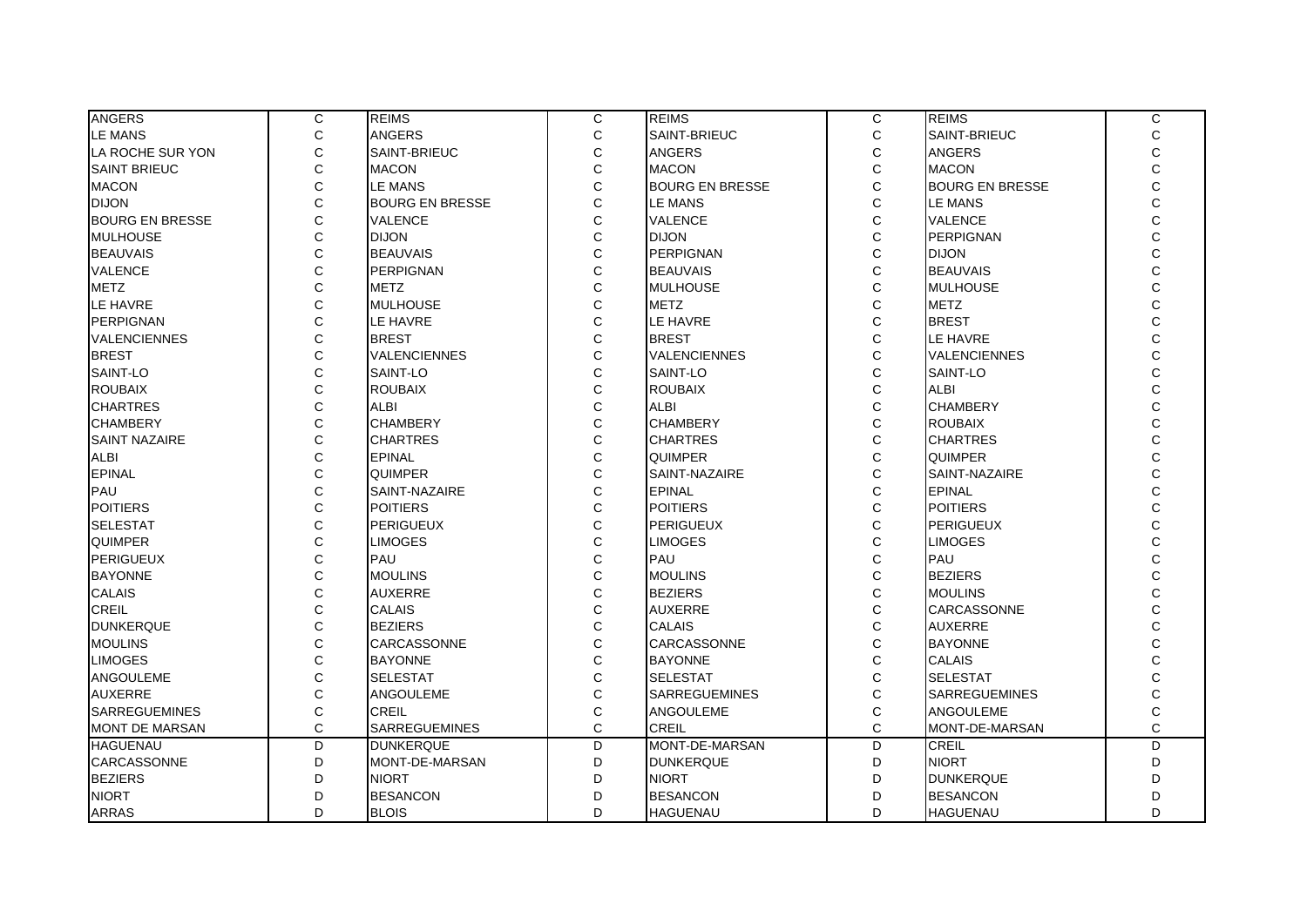| <b>ANGERS</b>          | С              | <b>REIMS</b>           | С              | <b>REIMS</b>           | C              | <b>REIMS</b>           | С                                          |
|------------------------|----------------|------------------------|----------------|------------------------|----------------|------------------------|--------------------------------------------|
| <b>LE MANS</b>         | $\mathsf C$    | <b>ANGERS</b>          | $\mathsf C$    | SAINT-BRIEUC           | $\mathsf C$    | SAINT-BRIEUC           | $\mathbf C$                                |
| LA ROCHE SUR YON       | $\mathsf{C}$   | SAINT-BRIEUC           | C              | <b>ANGERS</b>          | C              | <b>ANGERS</b>          | $\mathsf{C}$                               |
| <b>SAINT BRIEUC</b>    | $\mathsf C$    | <b>MACON</b>           | C              | <b>MACON</b>           | C              | <b>MACON</b>           | $\mathbf C$                                |
| <b>MACON</b>           | $\mathsf C$    | <b>LE MANS</b>         | C              | <b>BOURG EN BRESSE</b> | C              | <b>BOURG EN BRESSE</b> | $\mathbf{C}$                               |
| <b>DIJON</b>           | $\mathsf{C}$   | <b>BOURG EN BRESSE</b> | Ċ              | <b>LE MANS</b>         | Ċ              | <b>LE MANS</b>         | C<br>C                                     |
| <b>BOURG EN BRESSE</b> | $\mathsf{C}$   | <b>VALENCE</b>         | C              | <b>VALENCE</b>         | $\mathsf{C}$   | <b>VALENCE</b>         |                                            |
| <b>MULHOUSE</b>        | $\mathsf{C}$   | <b>DIJON</b>           | C              | <b>DIJON</b>           | $\mathsf{C}$   | <b>PERPIGNAN</b>       | $\mathbf{C}$                               |
| <b>BEAUVAIS</b>        | $\mathbf C$    | <b>BEAUVAIS</b>        | $\mathsf C$    | PERPIGNAN              | C              | <b>DIJON</b>           | C                                          |
| <b>VALENCE</b>         | $\mathsf{C}$   | <b>PERPIGNAN</b>       | C              | <b>BEAUVAIS</b>        | C              | <b>BEAUVAIS</b>        | $\mathsf{C}$                               |
| <b>METZ</b>            | $\mathsf{C}$   | <b>METZ</b>            | C              | <b>MULHOUSE</b>        | C              | <b>MULHOUSE</b>        | $\frac{C}{C}$                              |
| LE HAVRE               | $\mathsf{C}$   | <b>MULHOUSE</b>        | C              | <b>METZ</b>            | Ć              | <b>METZ</b>            |                                            |
| PERPIGNAN              | $\mathsf C$    | LE HAVRE               | C              | LE HAVRE               | $\mathsf{C}$   | <b>BREST</b>           | $\overline{C}$                             |
| <b>VALENCIENNES</b>    | $\mathsf C$    | <b>BREST</b>           | С              | <b>BREST</b>           | C              | <b>LE HAVRE</b>        | $\mathsf{C}$                               |
| <b>BREST</b>           | $\mathsf{C}$   | <b>VALENCIENNES</b>    | C              | <b>VALENCIENNES</b>    | Ċ              | <b>VALENCIENNES</b>    |                                            |
| SAINT-LO               | $\mathsf C$    | SAINT-LO               | C              | SAINT-LO               | C              | SAINT-LO               | $\begin{array}{c} c \\ c \\ c \end{array}$ |
| <b>ROUBAIX</b>         | $\mathsf{C}$   | <b>ROUBAIX</b>         | Ċ              | <b>ROUBAIX</b>         | $\mathsf{C}$   | <b>ALBI</b>            |                                            |
| <b>CHARTRES</b>        | $\mathsf C$    | <b>ALBI</b>            | C              | <b>ALBI</b>            | C              | <b>CHAMBERY</b>        | $\mathsf{C}$                               |
| <b>CHAMBERY</b>        | $\mathsf{C}$   | <b>CHAMBERY</b>        | C              | <b>CHAMBERY</b>        | C              | <b>ROUBAIX</b>         | $\mathsf{C}$                               |
| <b>SAINT NAZAIRE</b>   | $\mathsf{C}$   | <b>CHARTRES</b>        | C              | <b>CHARTRES</b>        | Ċ              | <b>CHARTRES</b>        |                                            |
| <b>ALBI</b>            | $\mathsf{C}$   | <b>EPINAL</b>          | C              | <b>QUIMPER</b>         | C              | <b>QUIMPER</b>         | $\frac{C}{C}$                              |
| <b>EPINAL</b>          | $\mathbf C$    | <b>QUIMPER</b>         | Ċ              | SAINT-NAZAIRE          | $\mathsf{C}$   | SAINT-NAZAIRE          | $\overline{C}$                             |
| PAU                    | $\mathsf C$    | SAINT-NAZAIRE          | $\mathsf C$    | <b>EPINAL</b>          | $\mathsf{C}$   | <b>EPINAL</b>          | $\mathsf{C}$                               |
| <b>POITIERS</b>        | $\mathsf C$    | <b>POITIERS</b>        | C              | <b>POITIERS</b>        | C              | <b>POITIERS</b>        |                                            |
| <b>SELESTAT</b>        | $\mathsf C$    | <b>PERIGUEUX</b>       | C              | <b>PERIGUEUX</b>       | C              | <b>PERIGUEUX</b>       | $\begin{array}{c} c \\ c \\ c \end{array}$ |
| <b>QUIMPER</b>         | $\mathsf{C}$   | <b>LIMOGES</b>         | C              | <b>LIMOGES</b>         | C              | <b>LIMOGES</b>         |                                            |
| <b>PERIGUEUX</b>       | $\mathsf C$    | PAU                    | $\mathsf{C}$   | PAU                    | $\mathsf{C}$   | PAU                    | $\mathsf{C}$                               |
| <b>BAYONNE</b>         | $\mathsf{C}$   | <b>MOULINS</b>         | C              | <b>MOULINS</b>         | Ċ              | <b>BEZIERS</b>         | $\mathsf{C}$                               |
| <b>CALAIS</b>          | $\mathsf{C}$   | <b>AUXERRE</b>         | C              | <b>BEZIERS</b>         | Ċ              | <b>MOULINS</b>         |                                            |
| CREIL                  | $\mathsf C$    | <b>CALAIS</b>          | C              | <b>AUXERRE</b>         | C              | CARCASSONNE            | $\frac{C}{C}$                              |
| <b>DUNKERQUE</b>       | $\mathsf{C}$   | <b>BEZIERS</b>         | $\mathbf C$    | <b>CALAIS</b>          | $\mathsf{C}$   | <b>AUXERRE</b>         | $\mathbf{C}$                               |
| <b>MOULINS</b>         | $\mathsf C$    | <b>CARCASSONNE</b>     | $\mathsf{C}$   | <b>CARCASSONNE</b>     | $\mathsf{C}$   | <b>BAYONNE</b>         | $\mathsf{C}$                               |
| <b>LIMOGES</b>         | $\mathsf{C}$   | <b>BAYONNE</b>         | C              | <b>BAYONNE</b>         | C              | <b>CALAIS</b>          | $\mathsf{C}$                               |
| ANGOULEME              | $\mathsf{C}$   | <b>SELESTAT</b>        | C              | <b>SELESTAT</b>        | C              | <b>SELESTAT</b>        |                                            |
| <b>AUXERRE</b>         | $\mathbf C$    | <b>ANGOULEME</b>       | C              | <b>SARREGUEMINES</b>   | $\mathsf{C}$   | <b>SARREGUEMINES</b>   | $\frac{C}{C}$                              |
| <b>SARREGUEMINES</b>   | $\mathbf C$    | CREIL                  | C              | ANGOULEME              | C              | <b>ANGOULEME</b>       | $\overline{C}$                             |
| <b>MONT DE MARSAN</b>  | $\mathbf C$    | <b>SARREGUEMINES</b>   | C              | <b>CREIL</b>           | Ć              | MONT-DE-MARSAN         | $\mathsf{C}$                               |
| <b>HAGUENAU</b>        | $\overline{D}$ | <b>DUNKERQUE</b>       | $\overline{D}$ | MONT-DE-MARSAN         | $\overline{D}$ | CREIL                  | $\overline{D}$                             |
| <b>CARCASSONNE</b>     | D              | MONT-DE-MARSAN         | D              | <b>DUNKERQUE</b>       | D              | <b>NIORT</b>           | D                                          |
| <b>BEZIERS</b>         | D              | <b>NIORT</b>           | D              | <b>NIORT</b>           | D              | <b>DUNKERQUE</b>       | D                                          |
| <b>NIORT</b>           | D              | <b>BESANCON</b>        | D              | <b>BESANCON</b>        | D              | <b>BESANCON</b>        | D                                          |
| <b>ARRAS</b>           | D              | <b>BLOIS</b>           | D              | <b>HAGUENAU</b>        | D              | <b>HAGUENAU</b>        | D                                          |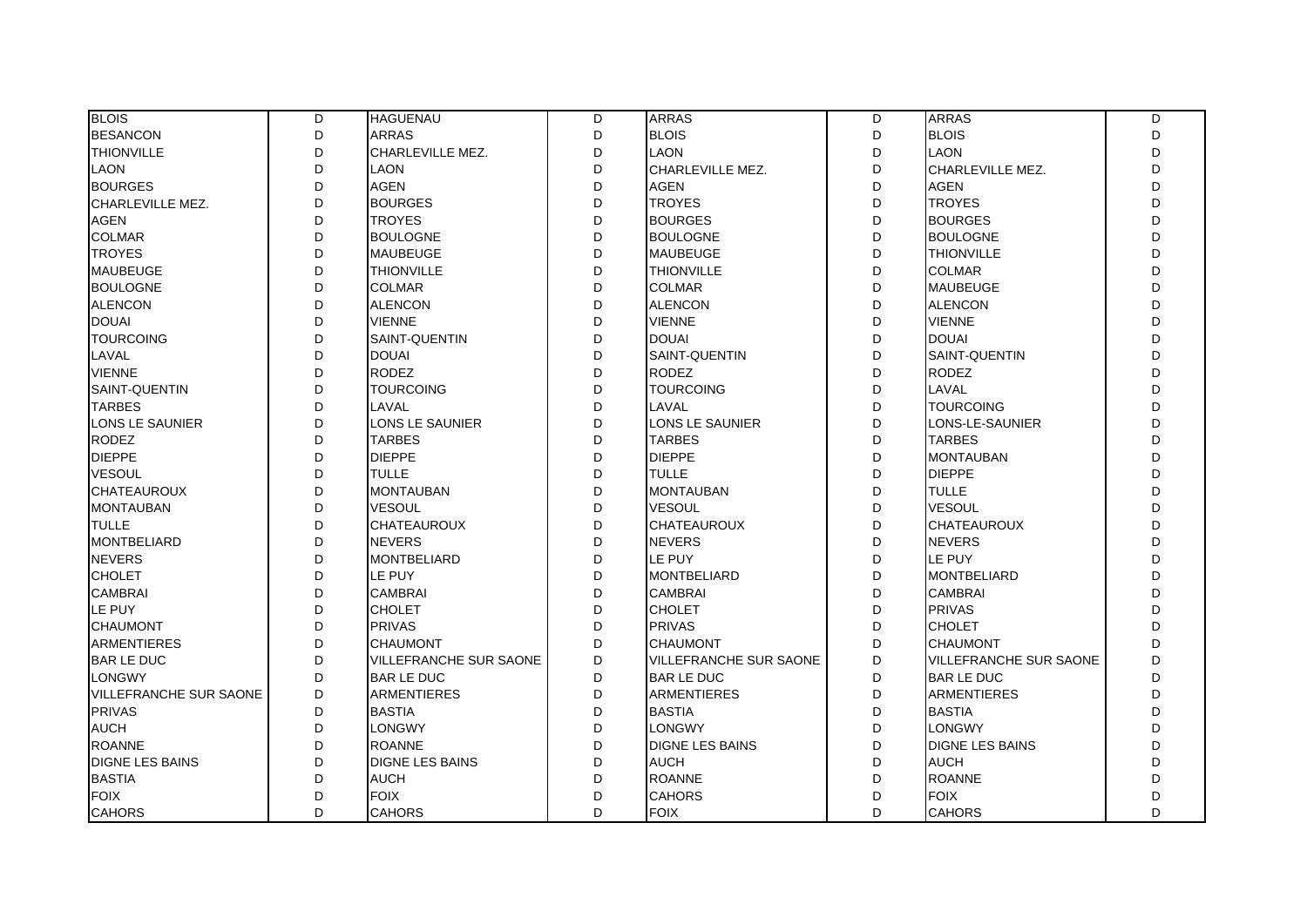| <b>BLOIS</b>                  | D | <b>HAGUENAU</b>               | D  | <b>ARRAS</b>                  | D | <b>ARRAS</b>           | D            |
|-------------------------------|---|-------------------------------|----|-------------------------------|---|------------------------|--------------|
| <b>BESANCON</b>               | D | <b>ARRAS</b>                  | D  | <b>BLOIS</b>                  | D | <b>BLOIS</b>           | D            |
| <b>THIONVILLE</b>             | D | CHARLEVILLE MEZ.              | D  | <b>LAON</b>                   | D | <b>LAON</b>            | D            |
| <b>LAON</b>                   | D | <b>LAON</b>                   | D. | CHARLEVILLE MEZ.              | D | CHARLEVILLE MEZ.       | $\mathsf{D}$ |
| <b>BOURGES</b>                | D | <b>AGEN</b>                   | D  | <b>AGEN</b>                   | D | AGEN                   | D            |
| <b>CHARLEVILLE MEZ.</b>       | D | <b>BOURGES</b>                | D  | <b>TROYES</b>                 | D | <b>TROYES</b>          | D            |
| <b>AGEN</b>                   | D | <b>TROYES</b>                 | D  | <b>BOURGES</b>                | D | <b>BOURGES</b>         | D            |
| <b>COLMAR</b>                 | D | <b>BOULOGNE</b>               | D  | <b>BOULOGNE</b>               | D | <b>BOULOGNE</b>        | D            |
| <b>TROYES</b>                 | D | <b>MAUBEUGE</b>               | D  | <b>MAUBEUGE</b>               | D | <b>THIONVILLE</b>      | D            |
| <b>MAUBEUGE</b>               | D | <b>THIONVILLE</b>             | D  | <b>THIONVILLE</b>             | D | <b>COLMAR</b>          | D            |
| <b>BOULOGNE</b>               | D | <b>COLMAR</b>                 | D  | <b>COLMAR</b>                 | D | <b>MAUBEUGE</b>        | D            |
| <b>ALENCON</b>                | D | <b>ALENCON</b>                | D  | <b>ALENCON</b>                | D | <b>ALENCON</b>         | D            |
| <b>DOUAI</b>                  | D | <b>VIENNE</b>                 | D  | <b>VIENNE</b>                 | D | <b>VIENNE</b>          | D            |
| <b>TOURCOING</b>              | D | SAINT-QUENTIN                 | D  | <b>DOUAI</b>                  | D | <b>DOUAI</b>           | D            |
| LAVAL                         | D | <b>DOUAI</b>                  | D  | <b>SAINT-QUENTIN</b>          | D | SAINT-QUENTIN          | D            |
| <b>VIENNE</b>                 | D | <b>RODEZ</b>                  | D  | <b>RODEZ</b>                  | D | <b>RODEZ</b>           | D            |
| SAINT-QUENTIN                 | D | <b>TOURCOING</b>              | D  | <b>TOURCOING</b>              | D | LAVAL                  | D            |
| <b>TARBES</b>                 | D | LAVAL                         | D  | LAVAL                         | D | <b>TOURCOING</b>       | D            |
| LONS LE SAUNIER               | D | LONS LE SAUNIER               | D  | <b>LONS LE SAUNIER</b>        | D | LONS-LE-SAUNIER        | D            |
| <b>RODEZ</b>                  | D | <b>TARBES</b>                 | D  | <b>TARBES</b>                 | D | <b>TARBES</b>          | D            |
| <b>DIEPPE</b>                 | D | <b>DIEPPE</b>                 | D  | <b>DIEPPE</b>                 | D | <b>MONTAUBAN</b>       | D            |
| <b>VESOUL</b>                 | D | <b>TULLE</b>                  | D  | <b>TULLE</b>                  | D | <b>DIEPPE</b>          | D            |
| <b>CHATEAUROUX</b>            | D | <b>MONTAUBAN</b>              | D  | <b>MONTAUBAN</b>              | D | <b>TULLE</b>           | D            |
| <b>MONTAUBAN</b>              | D | <b>VESOUL</b>                 | D  | <b>VESOUL</b>                 | D | <b>VESOUL</b>          | D            |
| <b>TULLE</b>                  | D | <b>CHATEAUROUX</b>            | D  | <b>CHATEAUROUX</b>            | D | CHATEAUROUX            | D            |
| <b>MONTBELIARD</b>            | D | <b>NEVERS</b>                 | D  | <b>NEVERS</b>                 | D | <b>NEVERS</b>          | $\mathsf{D}$ |
| <b>NEVERS</b>                 | D | <b>MONTBELIARD</b>            | D  | LE PUY                        | D | LE PUY                 | D            |
| <b>CHOLET</b>                 | D | LE PUY                        | D  | <b>MONTBELIARD</b>            | D | <b>MONTBELIARD</b>     | D            |
| <b>CAMBRAI</b>                | D | <b>CAMBRAI</b>                | D  | <b>CAMBRAI</b>                | D | <b>CAMBRAI</b>         | D            |
| LE PUY                        | D | <b>CHOLET</b>                 | D  | <b>CHOLET</b>                 | D | <b>PRIVAS</b>          | D            |
| <b>CHAUMONT</b>               | D | <b>PRIVAS</b>                 | D  | <b>PRIVAS</b>                 | D | <b>CHOLET</b>          | D            |
| <b>ARMENTIERES</b>            | D | <b>CHAUMONT</b>               | D  | <b>CHAUMONT</b>               | D | <b>CHAUMONT</b>        | D            |
| <b>BAR LE DUC</b>             | D | <b>VILLEFRANCHE SUR SAONE</b> | D  | <b>VILLEFRANCHE SUR SAONE</b> | D | VILLEFRANCHE SUR SAONE | D            |
| <b>LONGWY</b>                 | D | <b>BAR LE DUC</b>             | D  | <b>BAR LE DUC</b>             | D | <b>BAR LE DUC</b>      | D            |
| <b>VILLEFRANCHE SUR SAONE</b> | D | <b>ARMENTIERES</b>            | D  | <b>ARMENTIERES</b>            | D | <b>ARMENTIERES</b>     | D            |
| <b>PRIVAS</b>                 | D | <b>BASTIA</b>                 | D  | <b>BASTIA</b>                 | D | <b>BASTIA</b>          | D            |
| <b>AUCH</b>                   | D | LONGWY                        | D  | <b>LONGWY</b>                 | D | <b>LONGWY</b>          | D            |
| <b>ROANNE</b>                 | D | <b>ROANNE</b>                 | D  | <b>DIGNE LES BAINS</b>        | D | <b>DIGNE LES BAINS</b> | D            |
| <b>DIGNE LES BAINS</b>        | D | <b>DIGNE LES BAINS</b>        | D  | <b>AUCH</b>                   | D | <b>AUCH</b>            | D            |
| <b>BASTIA</b>                 | D | <b>AUCH</b>                   | D  | <b>ROANNE</b>                 | D | <b>ROANNE</b>          | D            |
| <b>FOIX</b>                   | D | <b>FOIX</b>                   | D  | <b>CAHORS</b>                 | D | <b>FOIX</b>            | D            |
| <b>CAHORS</b>                 | D | <b>CAHORS</b>                 | D  | <b>FOIX</b>                   | D | <b>CAHORS</b>          | D            |